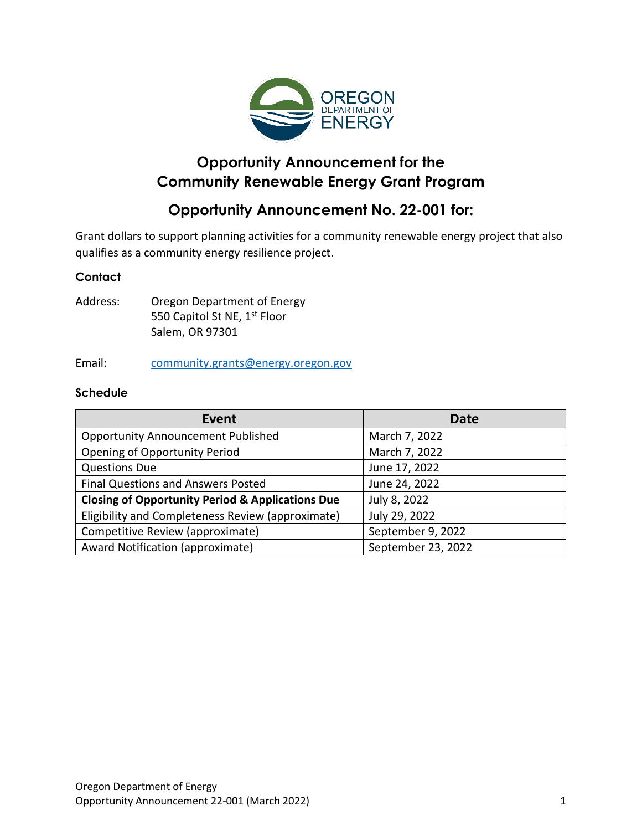

# **Opportunity Announcement for the Community Renewable Energy Grant Program**

# **Opportunity Announcement No. 22-001 for:**

Grant dollars to support planning activities for a community renewable energy project that also qualifies as a community energy resilience project.

#### **Contact**

Address: Oregon Department of Energy 550 Capitol St NE, 1<sup>st</sup> Floor Salem, OR 97301

Email: [community.grants@energy.oregon.gov](mailto:community.grants@energy.oregon.gov)

#### **Schedule**

| Event                                                       | <b>Date</b>        |
|-------------------------------------------------------------|--------------------|
| <b>Opportunity Announcement Published</b>                   | March 7, 2022      |
| <b>Opening of Opportunity Period</b>                        | March 7, 2022      |
| <b>Questions Due</b>                                        | June 17, 2022      |
| <b>Final Questions and Answers Posted</b>                   | June 24, 2022      |
| <b>Closing of Opportunity Period &amp; Applications Due</b> | July 8, 2022       |
| Eligibility and Completeness Review (approximate)           | July 29, 2022      |
| Competitive Review (approximate)                            | September 9, 2022  |
| Award Notification (approximate)                            | September 23, 2022 |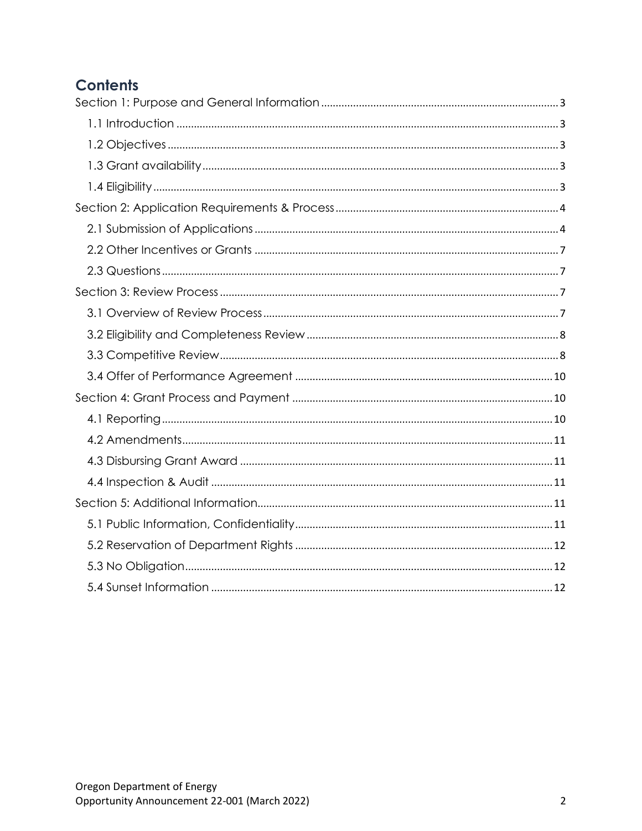# **Contents**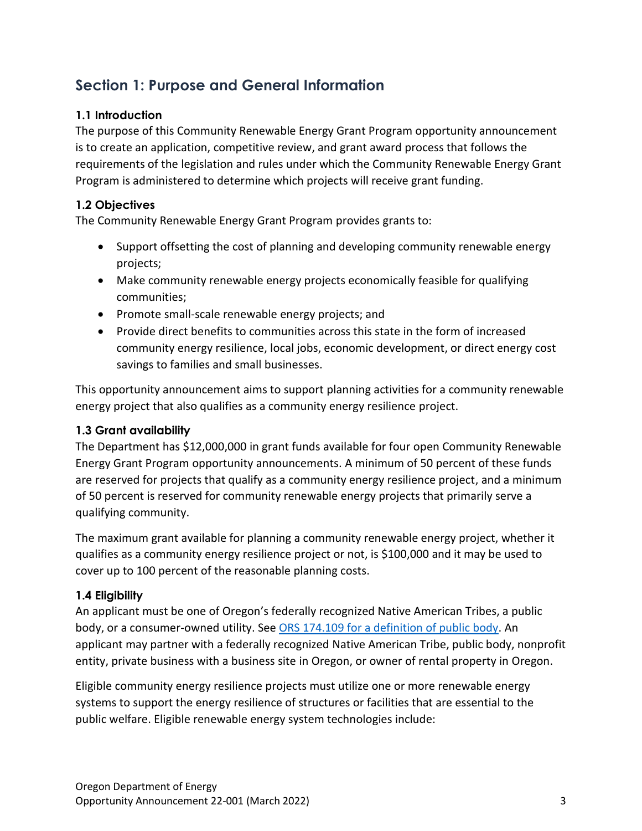# <span id="page-2-0"></span>**Section 1: Purpose and General Information**

### <span id="page-2-1"></span>**1.1 Introduction**

The purpose of this Community Renewable Energy Grant Program opportunity announcement is to create an application, competitive review, and grant award process that follows the requirements of the legislation and rules under which the Community Renewable Energy Grant Program is administered to determine which projects will receive grant funding.

### <span id="page-2-2"></span>**1.2 Objectives**

The Community Renewable Energy Grant Program provides grants to:

- Support offsetting the cost of planning and developing community renewable energy projects;
- Make community renewable energy projects economically feasible for qualifying communities;
- Promote small-scale renewable energy projects; and
- Provide direct benefits to communities across this state in the form of increased community energy resilience, local jobs, economic development, or direct energy cost savings to families and small businesses.

This opportunity announcement aims to support planning activities for a community renewable energy project that also qualifies as a community energy resilience project.

#### <span id="page-2-3"></span>**1.3 Grant availability**

The Department has \$12,000,000 in grant funds available for four open Community Renewable Energy Grant Program opportunity announcements. A minimum of 50 percent of these funds are reserved for projects that qualify as a community energy resilience project, and a minimum of 50 percent is reserved for community renewable energy projects that primarily serve a qualifying community.

The maximum grant available for planning a community renewable energy project, whether it qualifies as a community energy resilience project or not, is \$100,000 and it may be used to cover up to 100 percent of the reasonable planning costs.

#### <span id="page-2-4"></span>**1.4 Eligibility**

An applicant must be one of Oregon's federally recognized Native American Tribes, a public body, or a consumer-owned utility. See ORS 174.109 for [a definition of public body.](https://www.oregonlegislature.gov/bills_laws/ors/ors174.html#:~:text=174.109%20%E2%80%9CPublic%20body%E2%80%9D%20defined.%20Subject%20to%20ORS%20174.108%2C%20as%20used%20in%20the%20statutes%20of%20this%20state%20%E2%80%9Cpublic%20body%E2%80%9D%20means%20state%20government%20bodies%2C%20local%20government%20bodies%20and%20special%20government%20bodies.%20%5B2001%20c.74%20%C2%A72%5D) An applicant may partner with a federally recognized Native American Tribe, public body, nonprofit entity, private business with a business site in Oregon, or owner of rental property in Oregon.

Eligible community energy resilience projects must utilize one or more renewable energy systems to support the energy resilience of structures or facilities that are essential to the public welfare. Eligible renewable energy system technologies include: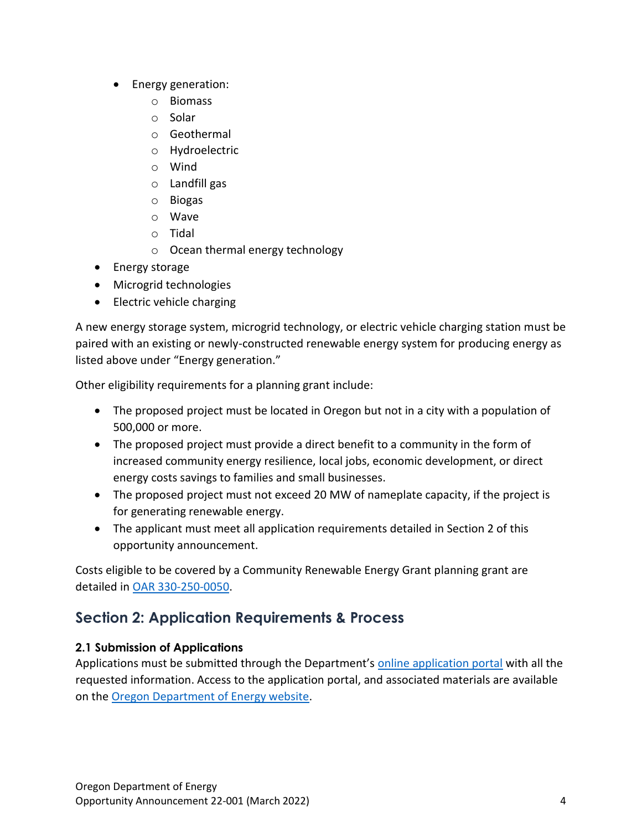- Energy generation:
	- o Biomass
	- o Solar
	- o Geothermal
	- o Hydroelectric
	- o Wind
	- o Landfill gas
	- o Biogas
	- o Wave
	- o Tidal
	- o Ocean thermal energy technology
- Energy storage
- Microgrid technologies
- Electric vehicle charging

A new energy storage system, microgrid technology, or electric vehicle charging station must be paired with an existing or newly-constructed renewable energy system for producing energy as listed above under "Energy generation."

Other eligibility requirements for a planning grant include:

- The proposed project must be located in Oregon but not in a city with a population of 500,000 or more.
- The proposed project must provide a direct benefit to a community in the form of increased community energy resilience, local jobs, economic development, or direct energy costs savings to families and small businesses.
- The proposed project must not exceed 20 MW of nameplate capacity, if the project is for generating renewable energy.
- The applicant must meet all application requirements detailed in Section 2 of this opportunity announcement.

Costs eligible to be covered by a Community Renewable Energy Grant planning grant are detailed in [OAR 330-250-0050.](https://secure.sos.state.or.us/oard/viewSingleRule.action?ruleVrsnRsn=286904)

# <span id="page-3-0"></span>**Section 2: Application Requirements & Process**

## <span id="page-3-1"></span>**2.1 Submission of Applications**

Applications must be submitted through the Department's [online application portal](https://odoe.powerappsportals.us/en-US/crephome) with all the requested information. Access to the application portal, and associated materials are available on the [Oregon Department of Energy website.](https://www.oregon.gov/energy/Incentives/Pages/CREP.aspx)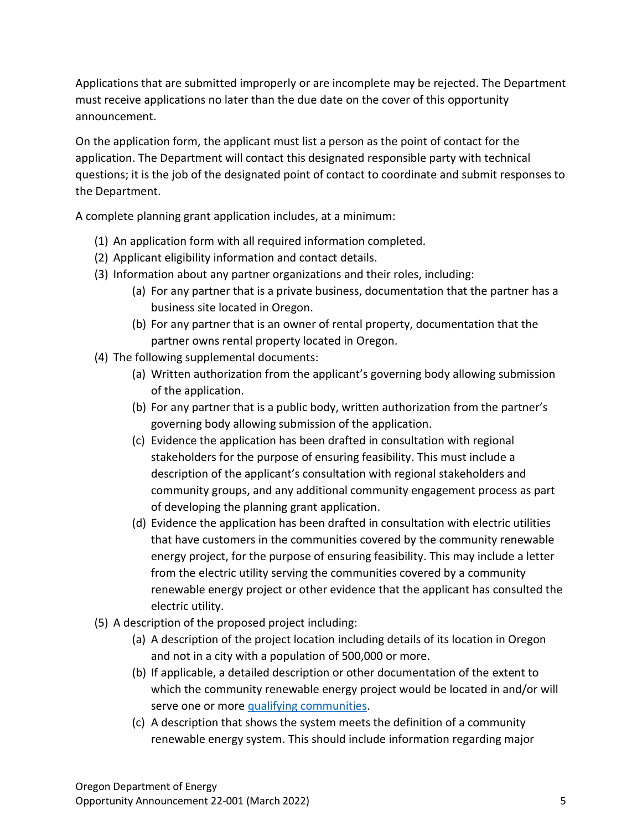Applications that are submitted improperly or are incomplete may be rejected. The Department must receive applications no later than the due date on the cover of this opportunity announcement.

On the application form, the applicant must list a person as the point of contact for the application. The Department will contact this designated responsible party with technical questions; it is the job of the designated point of contact to coordinate and submit responses to the Department.

A complete planning grant application includes, at a minimum:

- (1) An application form with all required information completed.
- (2) Applicant eligibility information and contact details.
- (3) Information about any partner organizations and their roles, including:
	- (a) For any partner that is a private business, documentation that the partner has a business site located in Oregon.
	- (b) For any partner that is an owner of rental property, documentation that the partner owns rental property located in Oregon.
- (4) The following supplemental documents:
	- (a) Written authorization from the applicant's governing body allowing submission of the application.
	- (b) For any partner that is a public body, written authorization from the partner's governing body allowing submission of the application.
	- (c) Evidence the application has been drafted in consultation with regional stakeholders for the purpose of ensuring feasibility. This must include a description of the applicant's consultation with regional stakeholders and community groups, and any additional community engagement process as part of developing the planning grant application.
	- (d) Evidence the application has been drafted in consultation with electric utilities that have customers in the communities covered by the community renewable energy project, for the purpose of ensuring feasibility. This may include a letter from the electric utility serving the communities covered by a community renewable energy project or other evidence that the applicant has consulted the electric utility.
- (5) A description of the proposed project including:
	- (a) A description of the project location including details of its location in Oregon and not in a city with a population of 500,000 or more.
	- (b) If applicable, a detailed description or other documentation of the extent to which the community renewable energy project would be located in and/or will serve one or more [qualifying communities.](https://www.oregonlegislature.gov/bills_laws/ors/ors470.html#:~:text=(9)%20%E2%80%9CQualifying%20community%E2%80%9D%20means%20a%20community%20that%20qualifies%20as%20an%20environmental%20justice%20community%20as%20defined%20in%20section%201%20of%20this%202021%20Act%20%5B469A.400%5D.)
	- (c) A description that shows the system meets the definition of a community renewable energy system. This should include information regarding major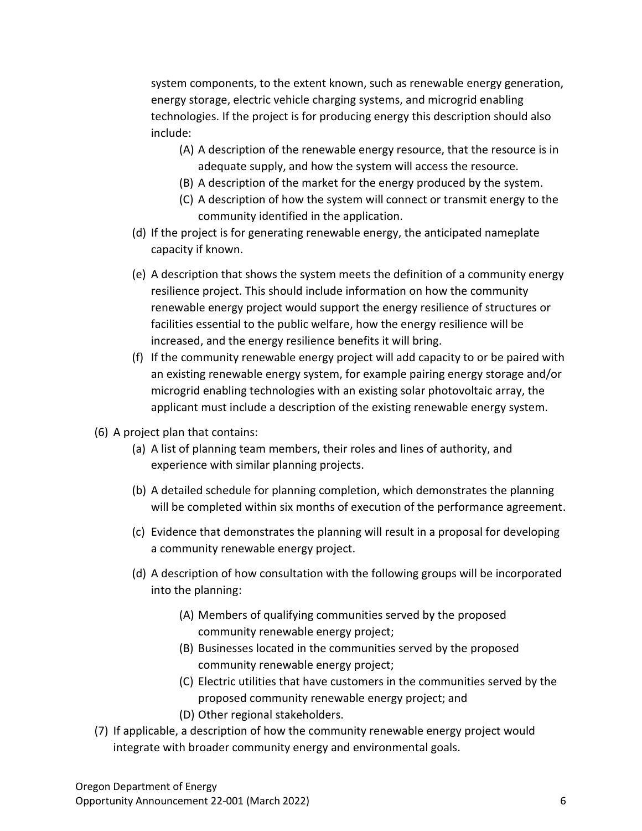system components, to the extent known, such as renewable energy generation, energy storage, electric vehicle charging systems, and microgrid enabling technologies. If the project is for producing energy this description should also include:

- (A) A description of the renewable energy resource, that the resource is in adequate supply, and how the system will access the resource.
- (B) A description of the market for the energy produced by the system.
- (C) A description of how the system will connect or transmit energy to the community identified in the application.
- (d) If the project is for generating renewable energy, the anticipated nameplate capacity if known.
- (e) A description that shows the system meets the definition of a community energy resilience project. This should include information on how the community renewable energy project would support the energy resilience of structures or facilities essential to the public welfare, how the energy resilience will be increased, and the energy resilience benefits it will bring.
- (f) If the community renewable energy project will add capacity to or be paired with an existing renewable energy system, for example pairing energy storage and/or microgrid enabling technologies with an existing solar photovoltaic array, the applicant must include a description of the existing renewable energy system.
- (6) A project plan that contains:
	- (a) A list of planning team members, their roles and lines of authority, and experience with similar planning projects.
	- (b) A detailed schedule for planning completion, which demonstrates the planning will be completed within six months of execution of the performance agreement.
	- (c) Evidence that demonstrates the planning will result in a proposal for developing a community renewable energy project.
	- (d) A description of how consultation with the following groups will be incorporated into the planning:
		- (A) Members of qualifying communities served by the proposed community renewable energy project;
		- (B) Businesses located in the communities served by the proposed community renewable energy project;
		- (C) Electric utilities that have customers in the communities served by the proposed community renewable energy project; and (D) Other regional stakeholders.
- (7) If applicable, a description of how the community renewable energy project would integrate with broader community energy and environmental goals.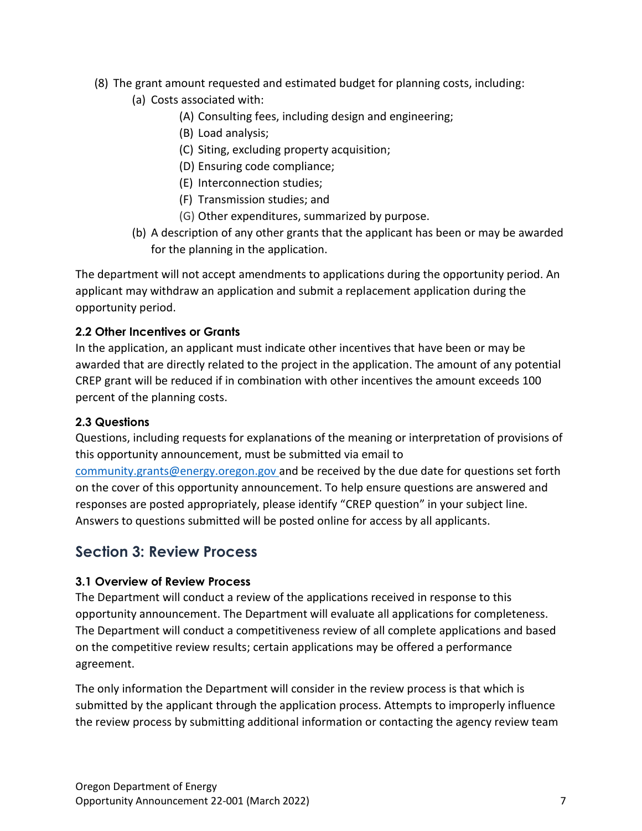- (8) The grant amount requested and estimated budget for planning costs, including:
	- (a) Costs associated with:
		- (A) Consulting fees, including design and engineering;
		- (B) Load analysis;
		- (C) Siting, excluding property acquisition;
		- (D) Ensuring code compliance;
		- (E) Interconnection studies;
		- (F) Transmission studies; and
		- (G) Other expenditures, summarized by purpose.
	- (b) A description of any other grants that the applicant has been or may be awarded for the planning in the application.

The department will not accept amendments to applications during the opportunity period. An applicant may withdraw an application and submit a replacement application during the opportunity period.

#### <span id="page-6-0"></span>**2.2 Other Incentives or Grants**

In the application, an applicant must indicate other incentives that have been or may be awarded that are directly related to the project in the application. The amount of any potential CREP grant will be reduced if in combination with other incentives the amount exceeds 100 percent of the planning costs.

#### <span id="page-6-1"></span>**2.3 Questions**

Questions, including requests for explanations of the meaning or interpretation of provisions of this opportunity announcement, must be submitted via email to [community.grants@energy.oregon.gov](mailto:community.grants@energy.oregon.gov) and be received by the due date for questions set forth on the cover of this opportunity announcement. To help ensure questions are answered and responses are posted appropriately, please identify "CREP question" in your subject line. Answers to questions submitted will be posted online for access by all applicants.

## <span id="page-6-2"></span>**Section 3: Review Process**

#### <span id="page-6-3"></span>**3.1 Overview of Review Process**

The Department will conduct a review of the applications received in response to this opportunity announcement. The Department will evaluate all applications for completeness. The Department will conduct a competitiveness review of all complete applications and based on the competitive review results; certain applications may be offered a performance agreement.

The only information the Department will consider in the review process is that which is submitted by the applicant through the application process. Attempts to improperly influence the review process by submitting additional information or contacting the agency review team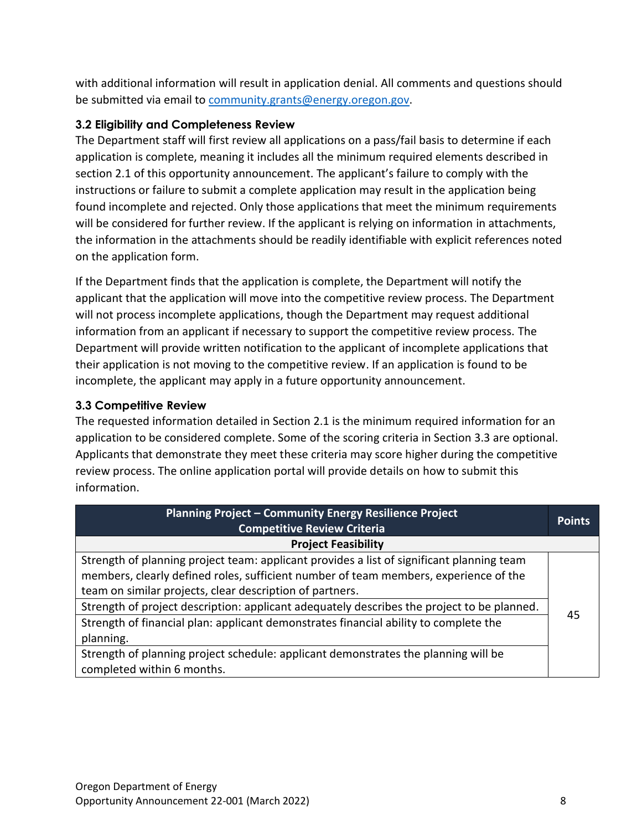with additional information will result in application denial. All comments and questions should be submitted via email to [community.grants@energy.oregon.gov.](mailto:community.grants@energy.oregon.gov)

### <span id="page-7-0"></span>**3.2 Eligibility and Completeness Review**

The Department staff will first review all applications on a pass/fail basis to determine if each application is complete, meaning it includes all the minimum required elements described in section 2.1 of this opportunity announcement. The applicant's failure to comply with the instructions or failure to submit a complete application may result in the application being found incomplete and rejected. Only those applications that meet the minimum requirements will be considered for further review. If the applicant is relying on information in attachments, the information in the attachments should be readily identifiable with explicit references noted on the application form.

If the Department finds that the application is complete, the Department will notify the applicant that the application will move into the competitive review process. The Department will not process incomplete applications, though the Department may request additional information from an applicant if necessary to support the competitive review process. The Department will provide written notification to the applicant of incomplete applications that their application is not moving to the competitive review. If an application is found to be incomplete, the applicant may apply in a future opportunity announcement.

#### <span id="page-7-1"></span>**3.3 Competitive Review**

The requested information detailed in Section 2.1 is the minimum required information for an application to be considered complete. Some of the scoring criteria in Section 3.3 are optional. Applicants that demonstrate they meet these criteria may score higher during the competitive review process. The online application portal will provide details on how to submit this information.

| Planning Project - Community Energy Resilience Project<br><b>Competitive Review Criteria</b> | <b>Points</b> |
|----------------------------------------------------------------------------------------------|---------------|
| <b>Project Feasibility</b>                                                                   |               |
| Strength of planning project team: applicant provides a list of significant planning team    |               |
| members, clearly defined roles, sufficient number of team members, experience of the         |               |
| team on similar projects, clear description of partners.                                     |               |
| Strength of project description: applicant adequately describes the project to be planned.   | 45            |
| Strength of financial plan: applicant demonstrates financial ability to complete the         |               |
| planning.                                                                                    |               |
| Strength of planning project schedule: applicant demonstrates the planning will be           |               |
| completed within 6 months.                                                                   |               |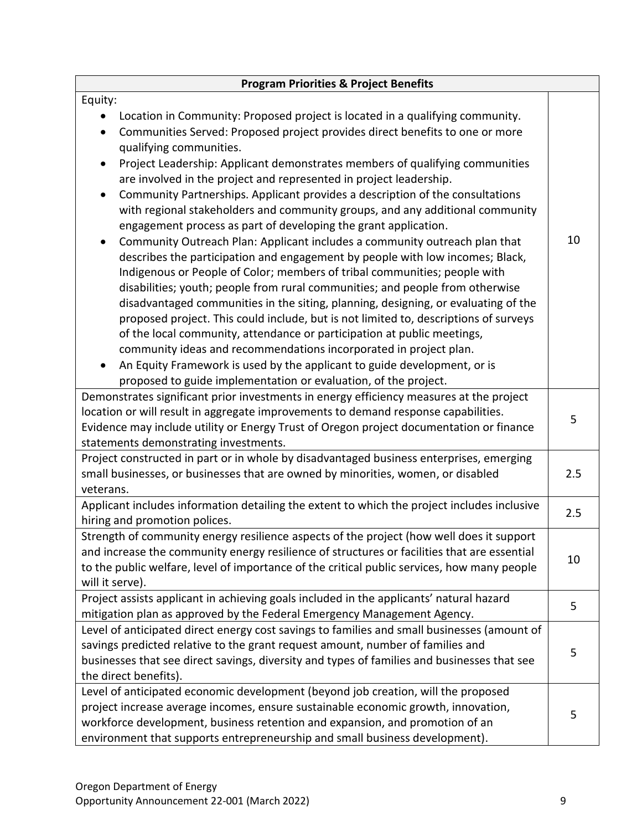| <b>Program Priorities &amp; Project Benefits</b>                                                                                                                                                                                                                                                                                                                                                                                                                                                                                                                                                                                                                                                                         |     |
|--------------------------------------------------------------------------------------------------------------------------------------------------------------------------------------------------------------------------------------------------------------------------------------------------------------------------------------------------------------------------------------------------------------------------------------------------------------------------------------------------------------------------------------------------------------------------------------------------------------------------------------------------------------------------------------------------------------------------|-----|
| Equity:                                                                                                                                                                                                                                                                                                                                                                                                                                                                                                                                                                                                                                                                                                                  |     |
| Location in Community: Proposed project is located in a qualifying community.<br>Communities Served: Proposed project provides direct benefits to one or more<br>$\bullet$<br>qualifying communities.<br>Project Leadership: Applicant demonstrates members of qualifying communities<br>$\bullet$                                                                                                                                                                                                                                                                                                                                                                                                                       |     |
| are involved in the project and represented in project leadership.<br>Community Partnerships. Applicant provides a description of the consultations<br>$\bullet$<br>with regional stakeholders and community groups, and any additional community<br>engagement process as part of developing the grant application.<br>Community Outreach Plan: Applicant includes a community outreach plan that                                                                                                                                                                                                                                                                                                                       | 10  |
| describes the participation and engagement by people with low incomes; Black,<br>Indigenous or People of Color; members of tribal communities; people with<br>disabilities; youth; people from rural communities; and people from otherwise<br>disadvantaged communities in the siting, planning, designing, or evaluating of the<br>proposed project. This could include, but is not limited to, descriptions of surveys<br>of the local community, attendance or participation at public meetings,<br>community ideas and recommendations incorporated in project plan.<br>An Equity Framework is used by the applicant to guide development, or is<br>proposed to guide implementation or evaluation, of the project. |     |
| Demonstrates significant prior investments in energy efficiency measures at the project<br>location or will result in aggregate improvements to demand response capabilities.<br>Evidence may include utility or Energy Trust of Oregon project documentation or finance<br>statements demonstrating investments.                                                                                                                                                                                                                                                                                                                                                                                                        | 5   |
| Project constructed in part or in whole by disadvantaged business enterprises, emerging<br>small businesses, or businesses that are owned by minorities, women, or disabled<br>veterans.                                                                                                                                                                                                                                                                                                                                                                                                                                                                                                                                 | 2.5 |
| Applicant includes information detailing the extent to which the project includes inclusive<br>hiring and promotion polices.                                                                                                                                                                                                                                                                                                                                                                                                                                                                                                                                                                                             | 2.5 |
| Strength of community energy resilience aspects of the project (how well does it support<br>and increase the community energy resilience of structures or facilities that are essential<br>to the public welfare, level of importance of the critical public services, how many people<br>will it serve).                                                                                                                                                                                                                                                                                                                                                                                                                | 10  |
| Project assists applicant in achieving goals included in the applicants' natural hazard<br>mitigation plan as approved by the Federal Emergency Management Agency.                                                                                                                                                                                                                                                                                                                                                                                                                                                                                                                                                       | 5   |
| Level of anticipated direct energy cost savings to families and small businesses (amount of<br>savings predicted relative to the grant request amount, number of families and<br>businesses that see direct savings, diversity and types of families and businesses that see<br>the direct benefits).                                                                                                                                                                                                                                                                                                                                                                                                                    | 5   |
| Level of anticipated economic development (beyond job creation, will the proposed<br>project increase average incomes, ensure sustainable economic growth, innovation,<br>workforce development, business retention and expansion, and promotion of an<br>environment that supports entrepreneurship and small business development).                                                                                                                                                                                                                                                                                                                                                                                    | 5   |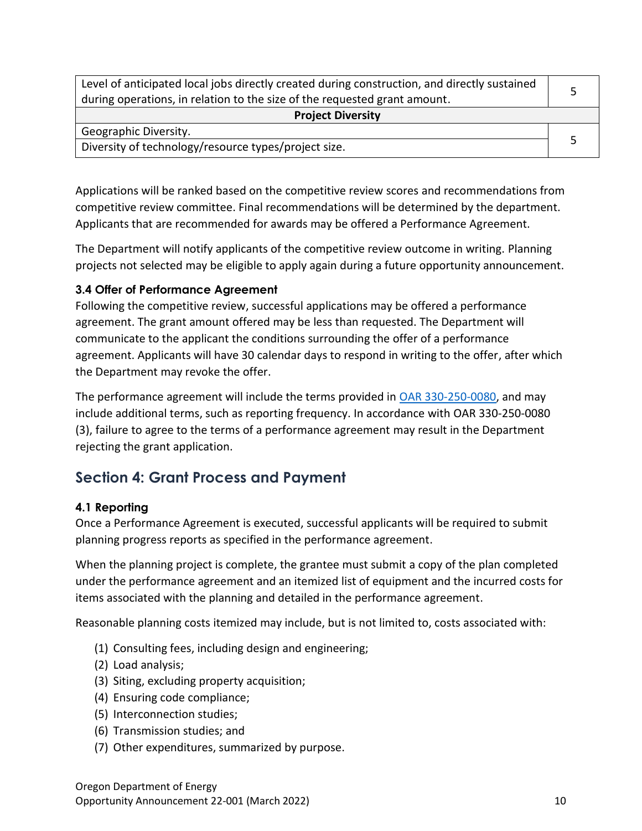| Level of anticipated local jobs directly created during construction, and directly sustained<br>during operations, in relation to the size of the requested grant amount. |  |  |
|---------------------------------------------------------------------------------------------------------------------------------------------------------------------------|--|--|
| <b>Project Diversity</b>                                                                                                                                                  |  |  |
| Geographic Diversity.                                                                                                                                                     |  |  |
| Diversity of technology/resource types/project size.                                                                                                                      |  |  |

Applications will be ranked based on the competitive review scores and recommendations from competitive review committee. Final recommendations will be determined by the department. Applicants that are recommended for awards may be offered a Performance Agreement.

The Department will notify applicants of the competitive review outcome in writing. Planning projects not selected may be eligible to apply again during a future opportunity announcement.

#### <span id="page-9-0"></span>**3.4 Offer of Performance Agreement**

Following the competitive review, successful applications may be offered a performance agreement. The grant amount offered may be less than requested. The Department will communicate to the applicant the conditions surrounding the offer of a performance agreement. Applicants will have 30 calendar days to respond in writing to the offer, after which the Department may revoke the offer.

The performance agreement will include the terms provided in [OAR 330-250-0080,](https://secure.sos.state.or.us/oard/viewSingleRule.action?ruleVrsnRsn=286910) and may include additional terms, such as reporting frequency. In accordance with OAR 330-250-0080 (3), failure to agree to the terms of a performance agreement may result in the Department rejecting the grant application.

## <span id="page-9-1"></span>**Section 4: Grant Process and Payment**

#### <span id="page-9-2"></span>**4.1 Reporting**

Once a Performance Agreement is executed, successful applicants will be required to submit planning progress reports as specified in the performance agreement.

When the planning project is complete, the grantee must submit a copy of the plan completed under the performance agreement and an itemized list of equipment and the incurred costs for items associated with the planning and detailed in the performance agreement.

Reasonable planning costs itemized may include, but is not limited to, costs associated with:

- (1) Consulting fees, including design and engineering;
- (2) Load analysis;
- (3) Siting, excluding property acquisition;
- (4) Ensuring code compliance;
- (5) Interconnection studies;
- (6) Transmission studies; and
- (7) Other expenditures, summarized by purpose.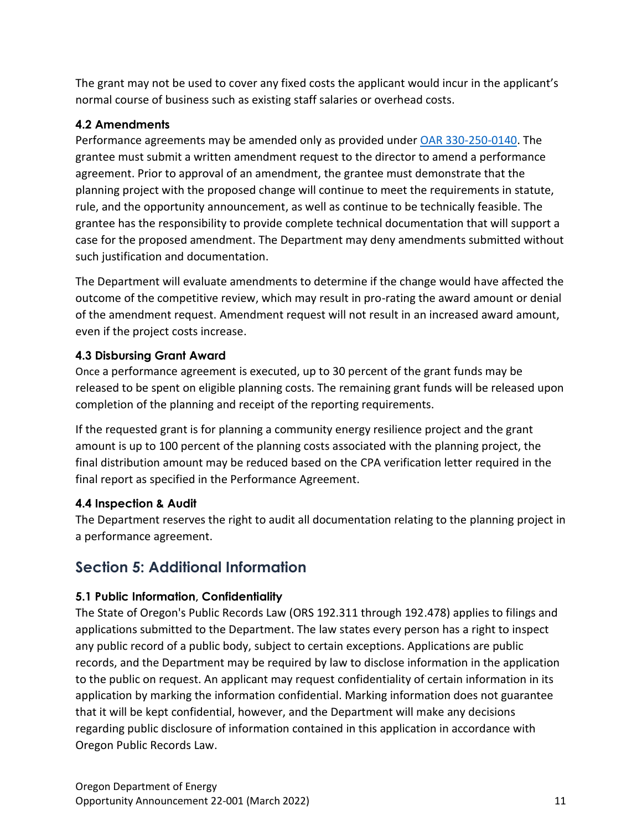The grant may not be used to cover any fixed costs the applicant would incur in the applicant's normal course of business such as existing staff salaries or overhead costs.

### <span id="page-10-0"></span>**4.2 Amendments**

Performance agreements may be amended only as provided under [OAR 330-250-0140.](https://secure.sos.state.or.us/oard/viewSingleRule.action?ruleVrsnRsn=286916) The grantee must submit a written amendment request to the director to amend a performance agreement. Prior to approval of an amendment, the grantee must demonstrate that the planning project with the proposed change will continue to meet the requirements in statute, rule, and the opportunity announcement, as well as continue to be technically feasible. The grantee has the responsibility to provide complete technical documentation that will support a case for the proposed amendment. The Department may deny amendments submitted without such justification and documentation.

The Department will evaluate amendments to determine if the change would have affected the outcome of the competitive review, which may result in pro-rating the award amount or denial of the amendment request. Amendment request will not result in an increased award amount, even if the project costs increase.

### <span id="page-10-1"></span>**4.3 Disbursing Grant Award**

Once a performance agreement is executed, up to 30 percent of the grant funds may be released to be spent on eligible planning costs. The remaining grant funds will be released upon completion of the planning and receipt of the reporting requirements.

If the requested grant is for planning a community energy resilience project and the grant amount is up to 100 percent of the planning costs associated with the planning project, the final distribution amount may be reduced based on the CPA verification letter required in the final report as specified in the Performance Agreement.

## <span id="page-10-2"></span>**4.4 Inspection & Audit**

The Department reserves the right to audit all documentation relating to the planning project in a performance agreement.

# <span id="page-10-3"></span>**Section 5: Additional Information**

## <span id="page-10-4"></span>**5.1 Public Information, Confidentiality**

The State of Oregon's Public Records Law (ORS 192.311 through 192.478) applies to filings and applications submitted to the Department. The law states every person has a right to inspect any public record of a public body, subject to certain exceptions. Applications are public records, and the Department may be required by law to disclose information in the application to the public on request. An applicant may request confidentiality of certain information in its application by marking the information confidential. Marking information does not guarantee that it will be kept confidential, however, and the Department will make any decisions regarding public disclosure of information contained in this application in accordance with Oregon Public Records Law.